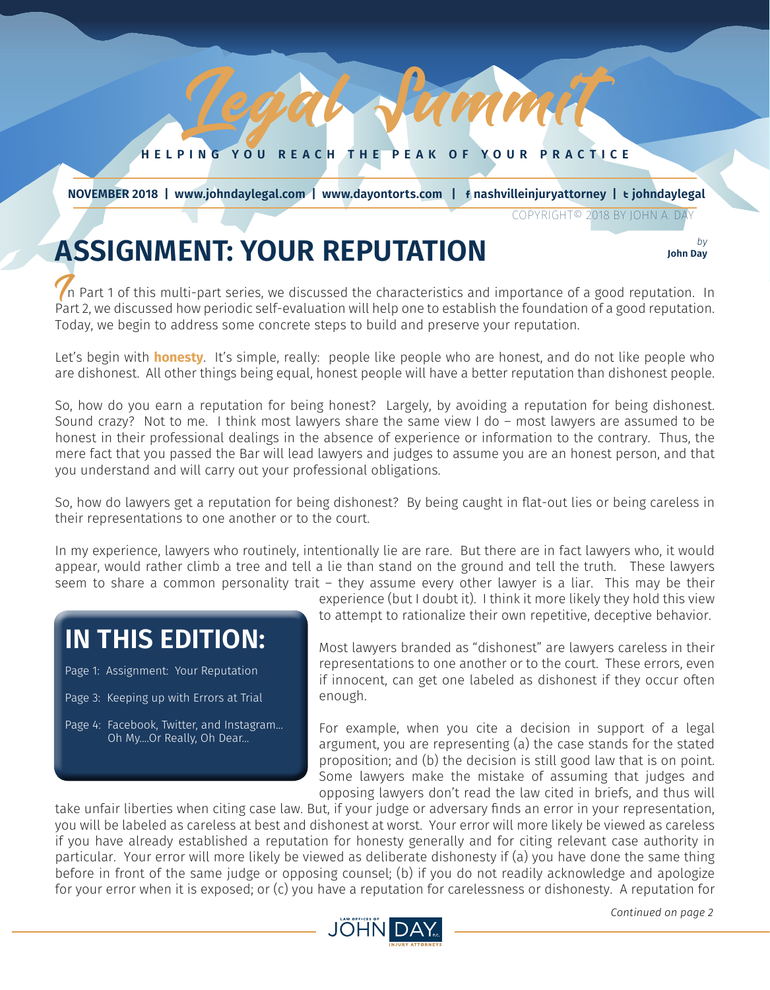#### **HELPING YOU REACH THE PEAK OF YOUR PRACTICE**

Lamm

*JULY 2018 1*

 **NOVEMBER 2018 | www.johndaylegal.com | www.dayontorts.com |** F **nashvilleinjuryattorney |** T **johndaylegal**

COPYRIGHT© 2018 BY JOHN A. DAY

**John Day**

# **ASSIGNMENT: YOUR REPUTATION** *by b b*<sub>*lohn Day*</sub>

In Part 1 of this multi-part series, we discussed the characteristics and importance of a good reputation. In Part 2, we discussed how periodic self-evaluation will help one to establish the foundation of a good reputation. Today, we begin to address some concrete steps to build and preserve your reputation.

Let's begin with **honesty**. It's simple, really: people like people who are honest, and do not like people who are dishonest. All other things being equal, honest people will have a better reputation than dishonest people.

So, how do you earn a reputation for being honest? Largely, by avoiding a reputation for being dishonest. Sound crazy? Not to me. I think most lawyers share the same view I do – most lawyers are assumed to be honest in their professional dealings in the absence of experience or information to the contrary. Thus, the mere fact that you passed the Bar will lead lawyers and judges to assume you are an honest person, and that you understand and will carry out your professional obligations.

So, how do lawyers get a reputation for being dishonest? By being caught in flat-out lies or being careless in their representations to one another or to the court.

In my experience, lawyers who routinely, intentionally lie are rare. But there are in fact lawyers who, it would appear, would rather climb a tree and tell a lie than stand on the ground and tell the truth. These lawyers seem to share a common personality trait – they assume every other lawyer is a liar. This may be their

### **IN THIS EDITION:**

Page 1: Assignment: Your Reputation

- Page 3: Keeping up with Errors at Trial
- Page 4: Facebook, Twitter, and Instagram... Oh My....Or Really, Oh Dear...

experience (but I doubt it). I think it more likely they hold this view to attempt to rationalize their own repetitive, deceptive behavior.

Most lawyers branded as "dishonest" are lawyers careless in their representations to one another or to the court. These errors, even if innocent, can get one labeled as dishonest if they occur often enough.

For example, when you cite a decision in support of a legal argument, you are representing (a) the case stands for the stated proposition; and (b) the decision is still good law that is on point. Some lawyers make the mistake of assuming that judges and opposing lawyers don't read the law cited in briefs, and thus will

take unfair liberties when citing case law. But, if your judge or adversary finds an error in your representation, you will be labeled as careless at best and dishonest at worst. Your error will more likely be viewed as careless if you have already established a reputation for honesty generally and for citing relevant case authority in particular. Your error will more likely be viewed as deliberate dishonesty if (a) you have done the same thing before in front of the same judge or opposing counsel; (b) if you do not readily acknowledge and apologize for your error when it is exposed; or (c) you have a reputation for carelessness or dishonesty. A reputation for

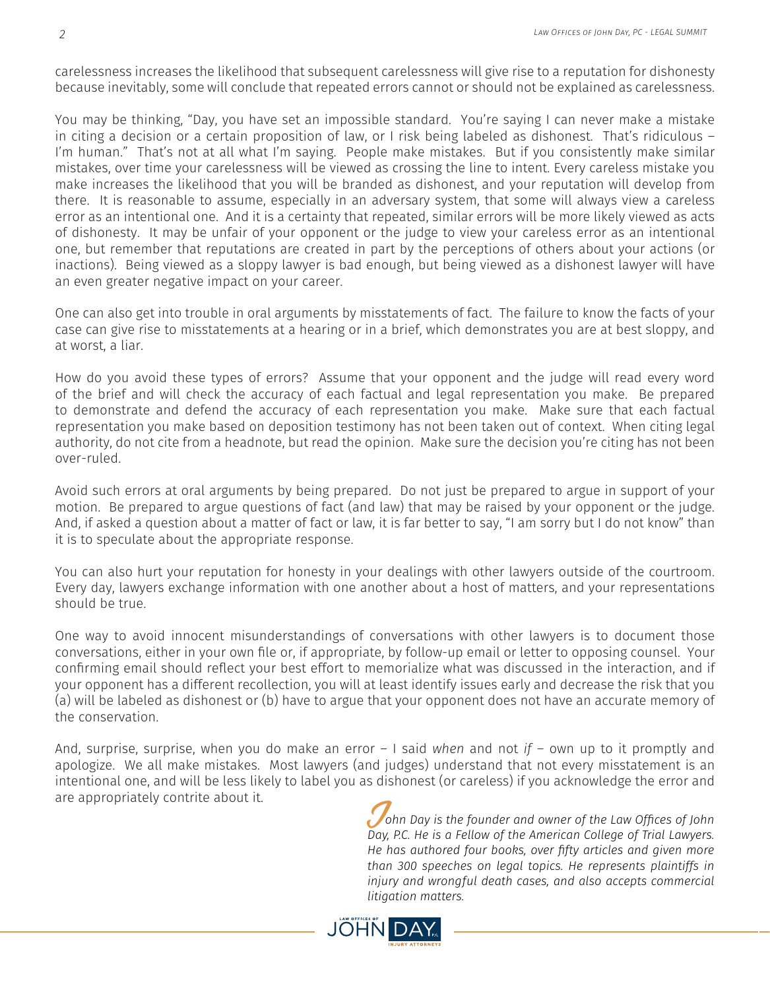carelessness increases the likelihood that subsequent carelessness will give rise to a reputation for dishonesty because inevitably, some will conclude that repeated errors cannot or should not be explained as carelessness.

You may be thinking, "Day, you have set an impossible standard. You're saying I can never make a mistake in citing a decision or a certain proposition of law, or I risk being labeled as dishonest. That's ridiculous – I'm human." That's not at all what I'm saying. People make mistakes. But if you consistently make similar mistakes, over time your carelessness will be viewed as crossing the line to intent. Every careless mistake you make increases the likelihood that you will be branded as dishonest, and your reputation will develop from there. It is reasonable to assume, especially in an adversary system, that some will always view a careless error as an intentional one. And it is a certainty that repeated, similar errors will be more likely viewed as acts of dishonesty. It may be unfair of your opponent or the judge to view your careless error as an intentional one, but remember that reputations are created in part by the perceptions of others about your actions (or inactions). Being viewed as a sloppy lawyer is bad enough, but being viewed as a dishonest lawyer will have an even greater negative impact on your career.

One can also get into trouble in oral arguments by misstatements of fact. The failure to know the facts of your case can give rise to misstatements at a hearing or in a brief, which demonstrates you are at best sloppy, and at worst, a liar.

How do you avoid these types of errors? Assume that your opponent and the judge will read every word of the brief and will check the accuracy of each factual and legal representation you make. Be prepared to demonstrate and defend the accuracy of each representation you make. Make sure that each factual representation you make based on deposition testimony has not been taken out of context. When citing legal authority, do not cite from a headnote, but read the opinion. Make sure the decision you're citing has not been over-ruled.

Avoid such errors at oral arguments by being prepared. Do not just be prepared to argue in support of your motion. Be prepared to argue questions of fact (and law) that may be raised by your opponent or the judge. And, if asked a question about a matter of fact or law, it is far better to say, "I am sorry but I do not know" than it is to speculate about the appropriate response.

You can also hurt your reputation for honesty in your dealings with other lawyers outside of the courtroom. Every day, lawyers exchange information with one another about a host of matters, and your representations should be true.

One way to avoid innocent misunderstandings of conversations with other lawyers is to document those conversations, either in your own file or, if appropriate, by follow-up email or letter to opposing counsel. Your confirming email should reflect your best effort to memorialize what was discussed in the interaction, and if your opponent has a different recollection, you will at least identify issues early and decrease the risk that you (a) will be labeled as dishonest or (b) have to argue that your opponent does not have an accurate memory of the conservation.

And, surprise, surprise, when you do make an error – I said *when* and not *if* – own up to it promptly and apologize. We all make mistakes. Most lawyers (and judges) understand that not every misstatement is an intentional one, and will be less likely to label you as dishonest (or careless) if you acknowledge the error and are appropriately contrite about it.<br>John Day is the founder and owner of the Law Offices of John *Day* is the founder and owner of the Law Offices of John

*Day, P.C. He is a Fellow of the American College of Trial Lawyers. He has authored four books, over fifty articles and given more than 300 speeches on legal topics. He represents plaintiffs in injury and wrongful death cases, and also accepts commercial litigation matters.*

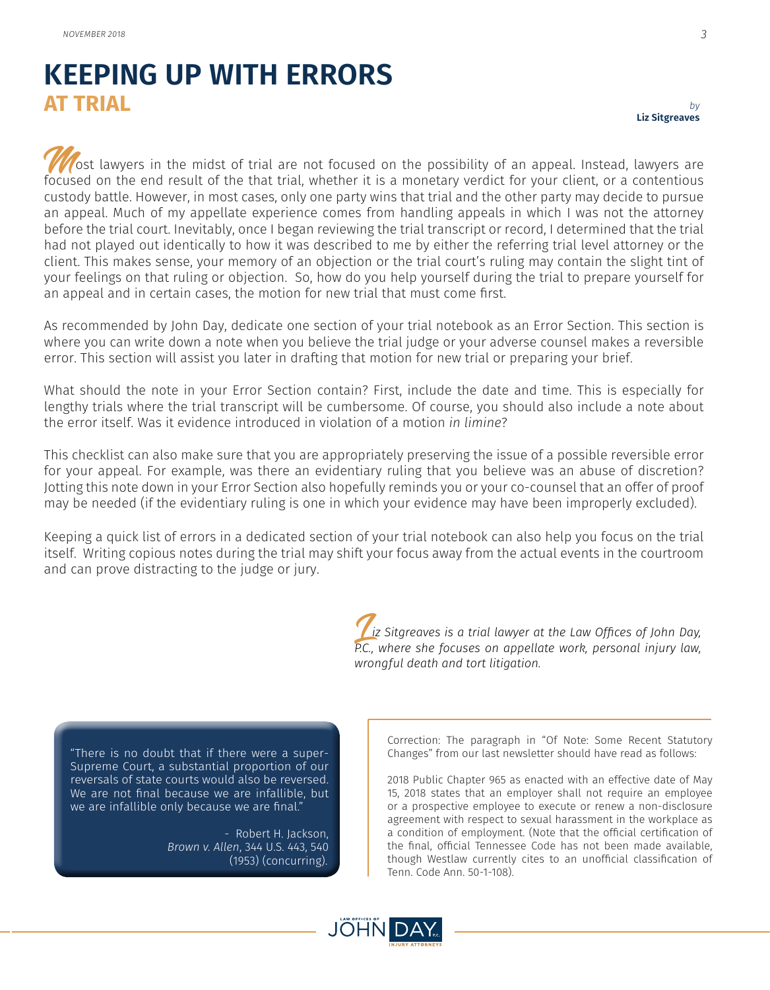## **KEEPING UP WITH ERRORS AT TRIAL**

ost lawyers in the midst of trial are not focused on the possibility of an appeal. Instead, lawyers are focused on the end result of the that trial, whether it is a monetary verdict for your client, or a contentious custody battle. However, in most cases, only one party wins that trial and the other party may decide to pursue an appeal. Much of my appellate experience comes from handling appeals in which I was not the attorney before the trial court. Inevitably, once I began reviewing the trial transcript or record, I determined that the trial had not played out identically to how it was described to me by either the referring trial level attorney or the client. This makes sense, your memory of an objection or the trial court's ruling may contain the slight tint of your feelings on that ruling or objection. So, how do you help yourself during the trial to prepare yourself for an appeal and in certain cases, the motion for new trial that must come first.

As recommended by John Day, dedicate one section of your trial notebook as an Error Section. This section is where you can write down a note when you believe the trial judge or your adverse counsel makes a reversible error. This section will assist you later in drafting that motion for new trial or preparing your brief.

What should the note in your Error Section contain? First, include the date and time. This is especially for lengthy trials where the trial transcript will be cumbersome. Of course, you should also include a note about the error itself. Was it evidence introduced in violation of a motion *in limine*?

This checklist can also make sure that you are appropriately preserving the issue of a possible reversible error for your appeal. For example, was there an evidentiary ruling that you believe was an abuse of discretion? Jotting this note down in your Error Section also hopefully reminds you or your co-counsel that an offer of proof may be needed (if the evidentiary ruling is one in which your evidence may have been improperly excluded).

Keeping a quick list of errors in a dedicated section of your trial notebook can also help you focus on the trial itself. Writing copious notes during the trial may shift your focus away from the actual events in the courtroom and can prove distracting to the judge or jury.

> L*iz Sitgreaves is a trial lawyer at the Law Offices of John Day, P.C., where she focuses on appellate work, personal injury law, wrongful death and tort litigation.*

"There is no doubt that if there were a super-Supreme Court, a substantial proportion of our reversals of state courts would also be reversed. We are not final because we are infallible, but we are infallible only because we are final."

> - Robert H. Jackson, *Brown v. Allen*, 344 U.S. 443, 540 (1953) (concurring).

Correction: The paragraph in "Of Note: Some Recent Statutory Changes" from our last newsletter should have read as follows:

2018 Public Chapter 965 as enacted with an effective date of May 15, 2018 states that an employer shall not require an employee or a prospective employee to execute or renew a non-disclosure agreement with respect to sexual harassment in the workplace as a condition of employment. (Note that the official certification of the final, official Tennessee Code has not been made available, though Westlaw currently cites to an unofficial classification of Tenn. Code Ann. 50-1-108).